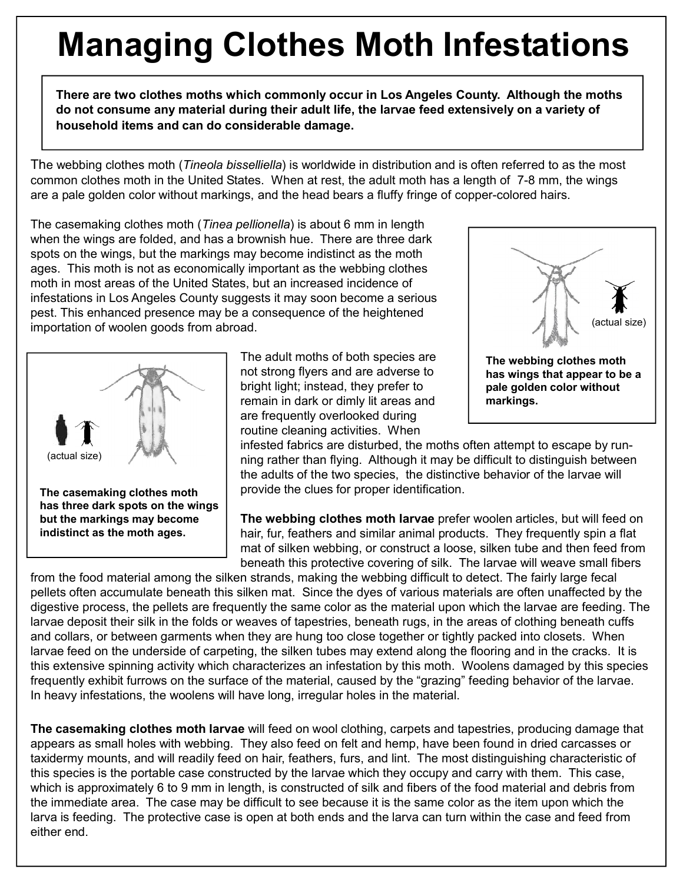## **Managing Clothes Moth Infestations**

**There are two clothes moths which commonly occur in Los Angeles County. Although the moths do not consume any material during their adult life, the larvae feed extensively on a variety of household items and can do considerable damage.**

The webbing clothes moth (*Tineola bisselliella*) is worldwide in distribution and is often referred to as the most common clothes moth in the United States. When at rest, the adult moth has a length of 7-8 mm, the wings are a pale golden color without markings, and the head bears a fluffy fringe of copper-colored hairs.

The casemaking clothes moth (*Tinea pellionella*) is about 6 mm in length when the wings are folded, and has a brownish hue. There are three dark spots on the wings, but the markings may become indistinct as the moth ages. This moth is not as economically important as the webbing clothes moth in most areas of the United States, but an increased incidence of infestations in Los Angeles County suggests it may soon become a serious pest. This enhanced presence may be a consequence of the heightened importation of woolen goods from abroad.



**but the markings may become indistinct as the moth ages.**

The adult moths of both species are not strong flyers and are adverse to bright light; instead, they prefer to remain in dark or dimly lit areas and are frequently overlooked during routine cleaning activities. When



infested fabrics are disturbed, the moths often attempt to escape by running rather than flying. Although it may be difficult to distinguish between the adults of the two species, the distinctive behavior of the larvae will provide the clues for proper identification.

**The webbing clothes moth larvae** prefer woolen articles, but will feed on hair, fur, feathers and similar animal products. They frequently spin a flat mat of silken webbing, or construct a loose, silken tube and then feed from beneath this protective covering of silk. The larvae will weave small fibers

from the food material among the silken strands, making the webbing difficult to detect. The fairly large fecal pellets often accumulate beneath this silken mat. Since the dyes of various materials are often unaffected by the digestive process, the pellets are frequently the same color as the material upon which the larvae are feeding. The larvae deposit their silk in the folds or weaves of tapestries, beneath rugs, in the areas of clothing beneath cuffs and collars, or between garments when they are hung too close together or tightly packed into closets. When larvae feed on the underside of carpeting, the silken tubes may extend along the flooring and in the cracks. It is this extensive spinning activity which characterizes an infestation by this moth. Woolens damaged by this species frequently exhibit furrows on the surface of the material, caused by the "grazing" feeding behavior of the larvae. In heavy infestations, the woolens will have long, irregular holes in the material.

**The casemaking clothes moth larvae** will feed on wool clothing, carpets and tapestries, producing damage that appears as small holes with webbing. They also feed on felt and hemp, have been found in dried carcasses or taxidermy mounts, and will readily feed on hair, feathers, furs, and lint. The most distinguishing characteristic of this species is the portable case constructed by the larvae which they occupy and carry with them. This case, which is approximately 6 to 9 mm in length, is constructed of silk and fibers of the food material and debris from the immediate area. The case may be difficult to see because it is the same color as the item upon which the larva is feeding. The protective case is open at both ends and the larva can turn within the case and feed from either end.